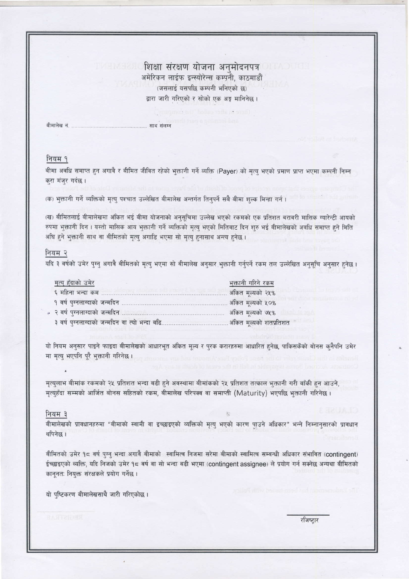<u>ि शिक्षा संरक्षण योजना अनुमोदनपत्र प्राध्यापकर</u> अमेरिकन लाईफ इन्स्योरेन्स कम्पनी, काठमाडौं (जसलाई यसपछि कम्पनी भनिएको छ) द्वारा जारी गरिएको र सोको एक अङ्ग मानिनेछ।

वीमालेख नं. साथ संलग्न

#### नियम १

बीमा अवधि समाप्त हुन अगावै र बीमित जीवित रहेको भुक्तानी गर्ने व्यक्ति (Payer) को मृत्यु भएको प्रमाण प्राप्त भएमा कम्पनी निम्न करा मंजर गर्दछ।

(क) भुक्तानी गर्ने व्यक्तिको मृत्यु पश्चात उल्लेखित बीमालेख अन्तर्गत तिनुपर्ने सबै बीमा शुल्क मिन्हा गर्न।

(ख) बीमितलाई बीमालेखमा अंकित भई बीमा योजनाको अनुसूचिमा उल्लेख भएको रकमको एक प्रतिशत बराबरी मासिक ग्यारेन्टी आयको रुपमा भुक्तानी दिन । यस्तो मासिक आय भुक्तानी गर्ने व्यक्तिको मृत्यु भएको मितिबाट दिन शुरु भई बीमालेखको अवधि समाप्त हुने मिति अघि हुने भुक्तानी साथ वा बीमितको मृत्यु अगाडि भएमा सो मृत्यु हनासाथ अन्त्य हुनेछ ।

### नियम २

यदि ३ वर्षको उमेर पुग्नु अगावै बीमितको मृत्यु भएमा सो बीमालेख अनुसार भुक्तानी गर्नुपर्ने रकम तल उल्लेखित अनुसूचि अनुसार हुनेछ।

| मृत्यु हुँदाको उमेर                            | <u>भक्तानी गरिने रकम</u> |                   |                         |
|------------------------------------------------|--------------------------|-------------------|-------------------------|
| ६ महिना भन्दा कम                               |                          | अंकित मूल्यको २५% |                         |
| १ वर्ष पुग्नलाग्दाको जन्मदिन .                 |                          | अंकित मूल्यको ५०% |                         |
|                                                |                          | अंकित मूल्यको ७५% |                         |
| ३ वर्ष पुग्नलाग्दाको जन्मदिन वा त्यो भन्दा बढि |                          |                   | अंकित मूल्यको शतप्रतिशत |

यो नियम अनुसार पाइने फाइदा बीमालेखको आधारभूत अंकित मूल्य र पुरक करारहरुमा आधारित हुनेछ, पाकिसकेंको बोनस कुनैपनि उमेर मा मृत्यु भएपनि पूरै भुक्तानी गरिनेछ।

मृत्युलाभ बीमांक रकमको २५ प्रतिशत भन्दा बढी हुने अवस्थामा बीमांकको २५ प्रतिशत तत्काल भुक्तानी गरी बाँकी हुन आउने, मृत्युहँदा सम्मको आर्जित बोनस सहितको रकम, बीमालेख परिपक्व वा समाप्ती (Maturity) भएपछि भुक्तानी गरिनेछ ।

#### नियम ३

बीमालेखको प्रावधानहरुमा "बीमाको स्वामी वा इच्छाइएको व्यक्तिको मृत्यु भएको कारण पाउने अधिकार" भन्ने निम्नानुसारको प्रावधान थपिनेछ।

बीमितको उमेर १८ वर्ष पुग्नु भन्दा अगावै बीमाको स्वामित्व निजमा सरेमा बीमाको स्वामित्व सम्बन्धी अधिकार संभावित (contingent) ईच्छाइएको व्यक्ति, यदि निजको उमेर १८ वर्ष वा सो भन्दा बढी भएमा (contingent assignee) ले प्रयोग गर्न सक्नेछ अन्यथा बीमितको कानूनतः नियुक्त संरक्षकले प्रयोग गर्नेछ।

यो पुष्टिकरण बीमालेखसाथै जारी गरिएकोछ।

रजिष्टार